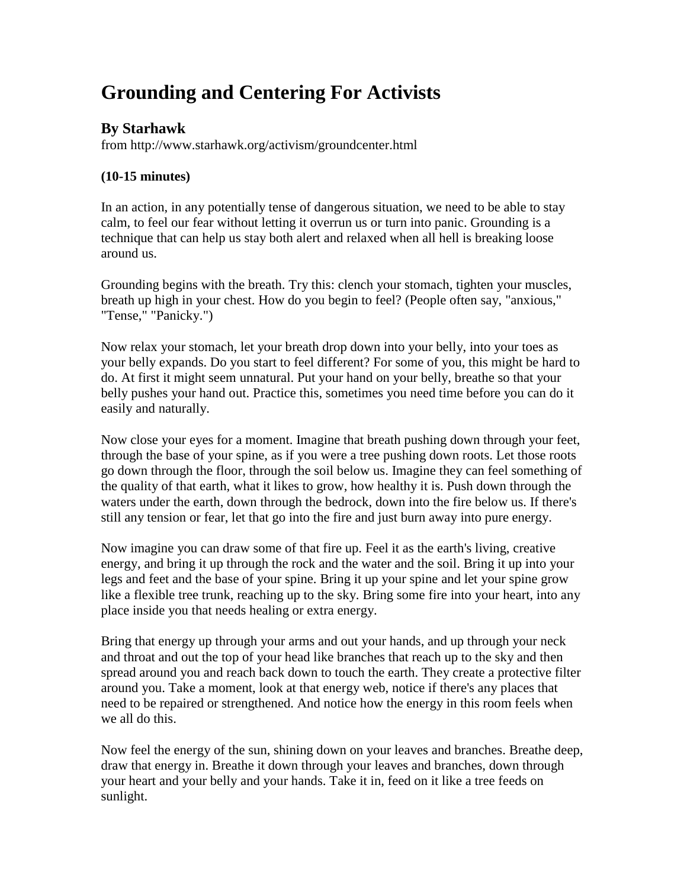# **Grounding and Centering For Activists**

## **By Starhawk**

from http://www.starhawk.org/activism/groundcenter.html

### **(10-15 minutes)**

In an action, in any potentially tense of dangerous situation, we need to be able to stay calm, to feel our fear without letting it overrun us or turn into panic. Grounding is a technique that can help us stay both alert and relaxed when all hell is breaking loose around us.

Grounding begins with the breath. Try this: clench your stomach, tighten your muscles, breath up high in your chest. How do you begin to feel? (People often say, "anxious," "Tense," "Panicky.")

Now relax your stomach, let your breath drop down into your belly, into your toes as your belly expands. Do you start to feel different? For some of you, this might be hard to do. At first it might seem unnatural. Put your hand on your belly, breathe so that your belly pushes your hand out. Practice this, sometimes you need time before you can do it easily and naturally.

Now close your eyes for a moment. Imagine that breath pushing down through your feet, through the base of your spine, as if you were a tree pushing down roots. Let those roots go down through the floor, through the soil below us. Imagine they can feel something of the quality of that earth, what it likes to grow, how healthy it is. Push down through the waters under the earth, down through the bedrock, down into the fire below us. If there's still any tension or fear, let that go into the fire and just burn away into pure energy.

Now imagine you can draw some of that fire up. Feel it as the earth's living, creative energy, and bring it up through the rock and the water and the soil. Bring it up into your legs and feet and the base of your spine. Bring it up your spine and let your spine grow like a flexible tree trunk, reaching up to the sky. Bring some fire into your heart, into any place inside you that needs healing or extra energy.

Bring that energy up through your arms and out your hands, and up through your neck and throat and out the top of your head like branches that reach up to the sky and then spread around you and reach back down to touch the earth. They create a protective filter around you. Take a moment, look at that energy web, notice if there's any places that need to be repaired or strengthened. And notice how the energy in this room feels when we all do this.

Now feel the energy of the sun, shining down on your leaves and branches. Breathe deep, draw that energy in. Breathe it down through your leaves and branches, down through your heart and your belly and your hands. Take it in, feed on it like a tree feeds on sunlight.